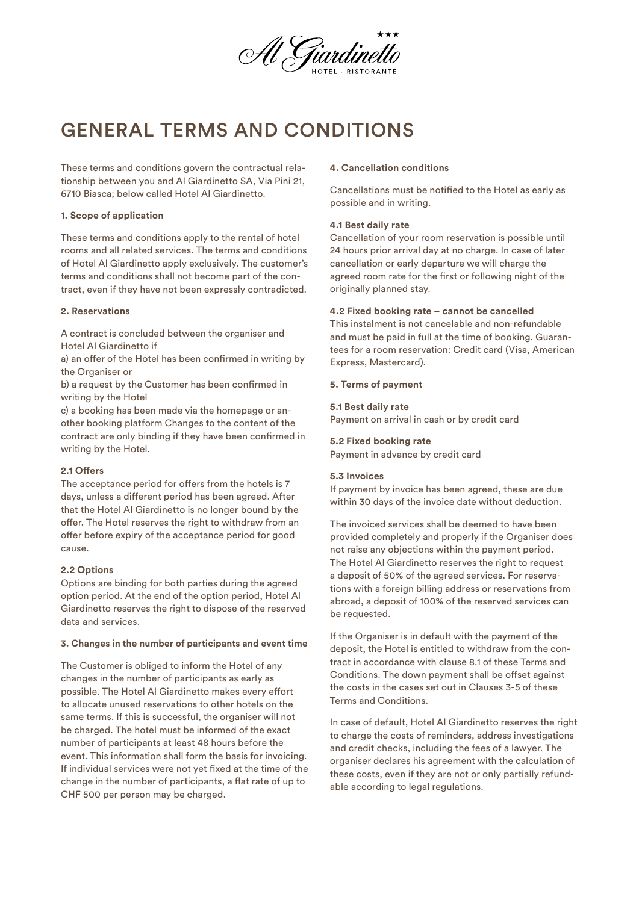

# GENERAL TERMS AND CONDITIONS

These terms and conditions govern the contractual relationship between you and Al Giardinetto SA, Via Pini 21, 6710 Biasca; below called Hotel Al Giardinetto.

### **1. Scope of application**

These terms and conditions apply to the rental of hotel rooms and all related services. The terms and conditions of Hotel Al Giardinetto apply exclusively. The customer's terms and conditions shall not become part of the contract, even if they have not been expressly contradicted.

### **2. Reservations**

A contract is concluded between the organiser and Hotel Al Giardinetto if

a) an offer of the Hotel has been confirmed in writing by the Organiser or

b) a request by the Customer has been confirmed in writing by the Hotel

c) a booking has been made via the homepage or another booking platform Changes to the content of the contract are only binding if they have been confirmed in writing by the Hotel.

### **2.1 Offers**

The acceptance period for offers from the hotels is 7 days, unless a different period has been agreed. After that the Hotel Al Giardinetto is no longer bound by the offer. The Hotel reserves the right to withdraw from an offer before expiry of the acceptance period for good cause.

# **2.2 Options**

Options are binding for both parties during the agreed option period. At the end of the option period, Hotel Al Giardinetto reserves the right to dispose of the reserved data and services.

### **3. Changes in the number of participants and event time**

The Customer is obliged to inform the Hotel of any changes in the number of participants as early as possible. The Hotel Al Giardinetto makes every effort to allocate unused reservations to other hotels on the same terms. If this is successful, the organiser will not be charged. The hotel must be informed of the exact number of participants at least 48 hours before the event. This information shall form the basis for invoicing. If individual services were not yet fixed at the time of the change in the number of participants, a flat rate of up to CHF 500 per person may be charged.

# **4. Cancellation conditions**

Cancellations must be notified to the Hotel as early as possible and in writing.

## **4.1 Best daily rate**

Cancellation of your room reservation is possible until 24 hours prior arrival day at no charge. In case of later cancellation or early departure we will charge the agreed room rate for the first or following night of the originally planned stay.

# **4.2 Fixed booking rate – cannot be cancelled**

This instalment is not cancelable and non-refundable and must be paid in full at the time of booking. Guarantees for a room reservation: Credit card (Visa, American Express, Mastercard).

## **5. Terms of payment**

### **5.1 Best daily rate**

Payment on arrival in cash or by credit card

## **5.2 Fixed booking rate**

Payment in advance by credit card

### **5.3 Invoices**

If payment by invoice has been agreed, these are due within 30 days of the invoice date without deduction.

The invoiced services shall be deemed to have been provided completely and properly if the Organiser does not raise any objections within the payment period. The Hotel Al Giardinetto reserves the right to request a deposit of 50% of the agreed services. For reservations with a foreign billing address or reservations from abroad, a deposit of 100% of the reserved services can be requested.

If the Organiser is in default with the payment of the deposit, the Hotel is entitled to withdraw from the contract in accordance with clause 8.1 of these Terms and Conditions. The down payment shall be offset against the costs in the cases set out in Clauses 3-5 of these Terms and Conditions.

In case of default, Hotel Al Giardinetto reserves the right to charge the costs of reminders, address investigations and credit checks, including the fees of a lawyer. The organiser declares his agreement with the calculation of these costs, even if they are not or only partially refundable according to legal regulations.